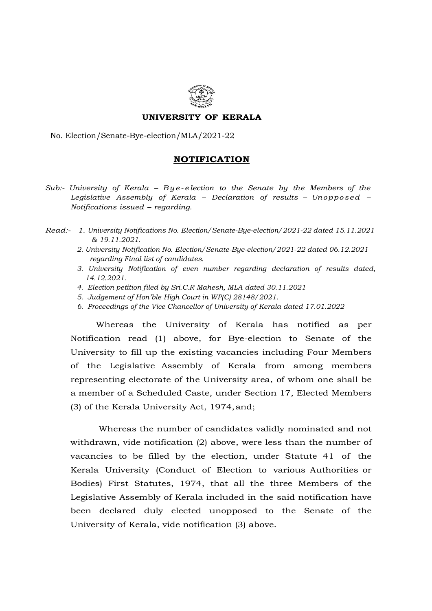

## UNIVERSITY OF KERALA

## No. Election/Senate-Bye-election/MLA/2021-22

## NOTIFICATION

- **UNIVERSITY OF KERALA**<br>No. Election/Senate-Bye-election/MLA/2021-22<br>**NOTIFICATION**<br>Sub:- University of Kerala B y e- election to the Senate by the Members of the<br>Legislative Assembly of Kerala Declaration of results Legislative Assembly of Kerala – Declaration of results – Unopposed – Notifications issued – regarding.
- Read:- 1. University Notifications No. Election/Senate-Bye-election/2021-22 dated 15.11.2021 & 19.11.2021.
	- 2. University Notification No. Election/Senate-Bye-election/2021-22 dated 06.12.2021 regarding Final list of candidates.
	- 3. University Notification of even number regarding declaration of results dated, 14.12.2021.
	- 4. Election petition filed by Sri.C.R Mahesh, MLA dated 30.11.2021
	- 5. Judgement of Hon'ble High Court in WP(C) 28148/2021.
	- 6. Proceedings of the Vice Chancellor of University of Kerala dated 17.01.2022

Whereas the University of Kerala has notified as per Notification read (1) above, for Bye-election to Senate of the University to fill up the existing vacancies including Four Members of the Legislative Assembly of Kerala from among members representing electorate of the University area, of whom one shall be a member of a Scheduled Caste, under Section 17, Elected Members (3) of the Kerala University Act, 1974, and;

 Whereas the number of candidates validly nominated and not withdrawn, vide notification (2) above, were less than the number of vacancies to be filled by the election, under Statute 41 of the Kerala University (Conduct of Election to various Authorities or Bodies) First Statutes, 1974, that all the three Members of the Legislative Assembly of Kerala included in the said notification have been declared duly elected unopposed to the Senate of the University of Kerala, vide notification (3) above.